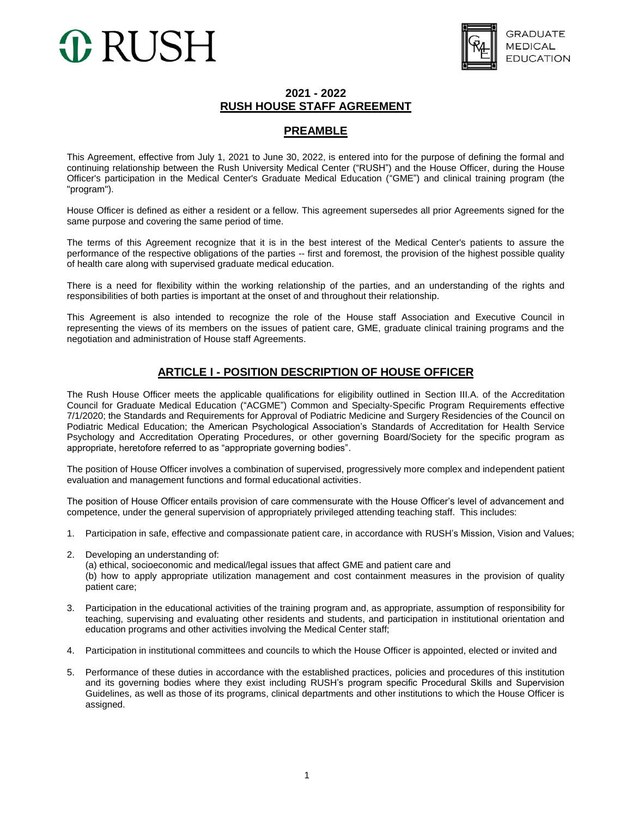# 0 RUSH



#### **2021 - 2022 RUSH HOUSE STAFF AGREEMENT**

#### **PREAMBLE**

This Agreement, effective from July 1, 2021 to June 30, 2022, is entered into for the purpose of defining the formal and continuing relationship between the Rush University Medical Center ("RUSH") and the House Officer, during the House Officer's participation in the Medical Center's Graduate Medical Education ("GME") and clinical training program (the "program").

House Officer is defined as either a resident or a fellow. This agreement supersedes all prior Agreements signed for the same purpose and covering the same period of time.

The terms of this Agreement recognize that it is in the best interest of the Medical Center's patients to assure the performance of the respective obligations of the parties -- first and foremost, the provision of the highest possible quality of health care along with supervised graduate medical education.

There is a need for flexibility within the working relationship of the parties, and an understanding of the rights and responsibilities of both parties is important at the onset of and throughout their relationship.

This Agreement is also intended to recognize the role of the House staff Association and Executive Council in representing the views of its members on the issues of patient care, GME, graduate clinical training programs and the negotiation and administration of House staff Agreements.

#### **ARTICLE I - POSITION DESCRIPTION OF HOUSE OFFICER**

The Rush House Officer meets the applicable qualifications for eligibility outlined in Section III.A. of the Accreditation Council for Graduate Medical Education ("ACGME") Common and Specialty-Specific Program Requirements effective 7/1/2020; the Standards and Requirements for Approval of Podiatric Medicine and Surgery Residencies of the Council on Podiatric Medical Education; the American Psychological Association's Standards of Accreditation for Health Service Psychology and Accreditation Operating Procedures, or other governing Board/Society for the specific program as appropriate, heretofore referred to as "appropriate governing bodies".

The position of House Officer involves a combination of supervised, progressively more complex and independent patient evaluation and management functions and formal educational activities.

The position of House Officer entails provision of care commensurate with the House Officer's level of advancement and competence, under the general supervision of appropriately privileged attending teaching staff. This includes:

- 1. Participation in safe, effective and compassionate patient care, in accordance with RUSH's Mission, Vision and Values;
- 2. Developing an understanding of:

(a) ethical, socioeconomic and medical/legal issues that affect GME and patient care and (b) how to apply appropriate utilization management and cost containment measures in the provision of quality patient care;

- 3. Participation in the educational activities of the training program and, as appropriate, assumption of responsibility for teaching, supervising and evaluating other residents and students, and participation in institutional orientation and education programs and other activities involving the Medical Center staff;
- 4. Participation in institutional committees and councils to which the House Officer is appointed, elected or invited and
- 5. Performance of these duties in accordance with the established practices, policies and procedures of this institution and its governing bodies where they exist including RUSH's program specific Procedural Skills and Supervision Guidelines, as well as those of its programs, clinical departments and other institutions to which the House Officer is assigned.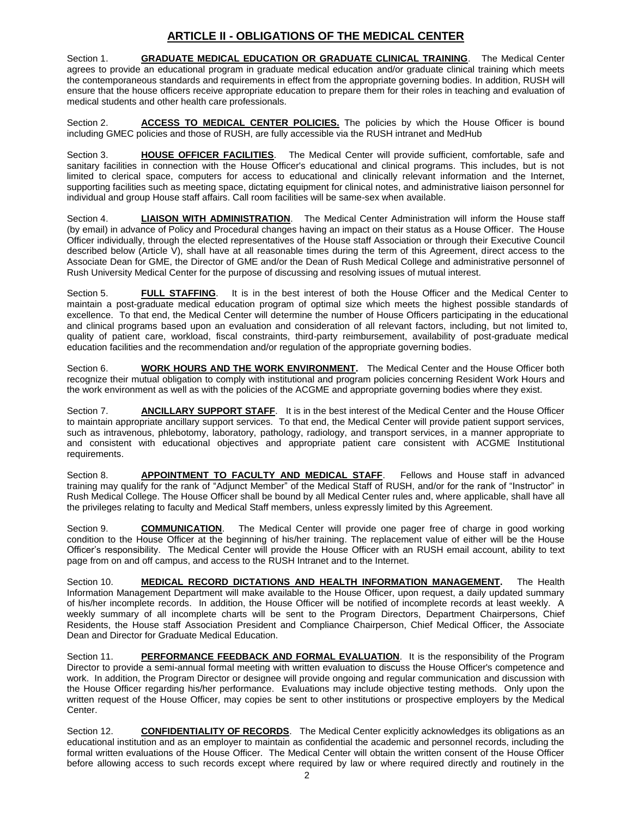# **ARTICLE II - OBLIGATIONS OF THE MEDICAL CENTER**

Section 1. **GRADUATE MEDICAL EDUCATION OR GRADUATE CLINICAL TRAINING**. The Medical Center agrees to provide an educational program in graduate medical education and/or graduate clinical training which meets the contemporaneous standards and requirements in effect from the appropriate governing bodies. In addition, RUSH will ensure that the house officers receive appropriate education to prepare them for their roles in teaching and evaluation of medical students and other health care professionals.

Section 2. **ACCESS TO MEDICAL CENTER POLICIES.** The policies by which the House Officer is bound including GMEC policies and those of RUSH, are fully accessible via the RUSH intranet and MedHub

Section 3. **HOUSE OFFICER FACILITIES**. The Medical Center will provide sufficient, comfortable, safe and sanitary facilities in connection with the House Officer's educational and clinical programs. This includes, but is not limited to clerical space, computers for access to educational and clinically relevant information and the Internet, supporting facilities such as meeting space, dictating equipment for clinical notes, and administrative liaison personnel for individual and group House staff affairs. Call room facilities will be same-sex when available.

Section 4. **LIAISON WITH ADMINISTRATION**. The Medical Center Administration will inform the House staff (by email) in advance of Policy and Procedural changes having an impact on their status as a House Officer. The House Officer individually, through the elected representatives of the House staff Association or through their Executive Council described below (Article V), shall have at all reasonable times during the term of this Agreement, direct access to the Associate Dean for GME, the Director of GME and/or the Dean of Rush Medical College and administrative personnel of Rush University Medical Center for the purpose of discussing and resolving issues of mutual interest.

Section 5. **FULL STAFFING**. It is in the best interest of both the House Officer and the Medical Center to maintain a post-graduate medical education program of optimal size which meets the highest possible standards of excellence. To that end, the Medical Center will determine the number of House Officers participating in the educational and clinical programs based upon an evaluation and consideration of all relevant factors, including, but not limited to, quality of patient care, workload, fiscal constraints, third-party reimbursement, availability of post-graduate medical education facilities and the recommendation and/or regulation of the appropriate governing bodies.

Section 6. **WORK HOURS AND THE WORK ENVIRONMENT.** The Medical Center and the House Officer both recognize their mutual obligation to comply with institutional and program policies concerning Resident Work Hours and the work environment as well as with the policies of the ACGME and appropriate governing bodies where they exist.

Section 7. **ANCILLARY SUPPORT STAFF**. It is in the best interest of the Medical Center and the House Officer to maintain appropriate ancillary support services. To that end, the Medical Center will provide patient support services, such as intravenous, phlebotomy, laboratory, pathology, radiology, and transport services, in a manner appropriate to and consistent with educational objectives and appropriate patient care consistent with ACGME Institutional requirements.

Section 8. **APPOINTMENT TO FACULTY AND MEDICAL STAFF**. Fellows and House staff in advanced training may qualify for the rank of "Adjunct Member" of the Medical Staff of RUSH, and/or for the rank of "Instructor" in Rush Medical College. The House Officer shall be bound by all Medical Center rules and, where applicable, shall have all the privileges relating to faculty and Medical Staff members, unless expressly limited by this Agreement.

Section 9. **COMMUNICATION**. The Medical Center will provide one pager free of charge in good working condition to the House Officer at the beginning of his/her training. The replacement value of either will be the House Officer's responsibility. The Medical Center will provide the House Officer with an RUSH email account, ability to text page from on and off campus, and access to the RUSH Intranet and to the Internet.

Section 10. **MEDICAL RECORD DICTATIONS AND HEALTH INFORMATION MANAGEMENT.** The Health Information Management Department will make available to the House Officer, upon request, a daily updated summary of his/her incomplete records. In addition, the House Officer will be notified of incomplete records at least weekly. A weekly summary of all incomplete charts will be sent to the Program Directors, Department Chairpersons, Chief Residents, the House staff Association President and Compliance Chairperson, Chief Medical Officer, the Associate Dean and Director for Graduate Medical Education.

Section 11. **PERFORMANCE FEEDBACK AND FORMAL EVALUATION**. It is the responsibility of the Program Director to provide a semi-annual formal meeting with written evaluation to discuss the House Officer's competence and work. In addition, the Program Director or designee will provide ongoing and regular communication and discussion with the House Officer regarding his/her performance. Evaluations may include objective testing methods. Only upon the written request of the House Officer, may copies be sent to other institutions or prospective employers by the Medical Center.

Section 12. **CONFIDENTIALITY OF RECORDS**. The Medical Center explicitly acknowledges its obligations as an educational institution and as an employer to maintain as confidential the academic and personnel records, including the formal written evaluations of the House Officer. The Medical Center will obtain the written consent of the House Officer before allowing access to such records except where required by law or where required directly and routinely in the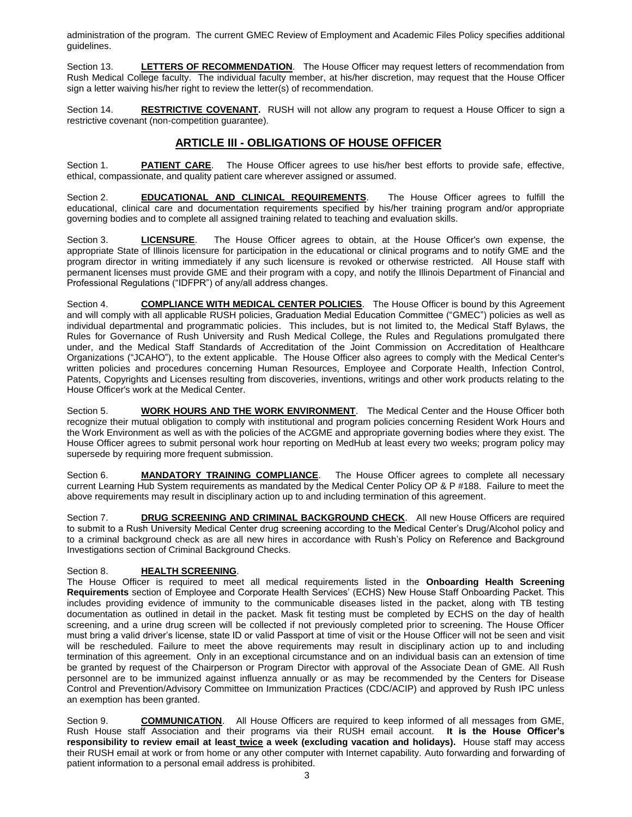administration of the program. The current GMEC Review of Employment and Academic Files Policy specifies additional guidelines.

Section 13. **LETTERS OF RECOMMENDATION**. The House Officer may request letters of recommendation from Rush Medical College faculty. The individual faculty member, at his/her discretion, may request that the House Officer sign a letter waiving his/her right to review the letter(s) of recommendation.

Section 14. **RESTRICTIVE COVENANT.** RUSH will not allow any program to request a House Officer to sign a restrictive covenant (non-competition guarantee).

#### **ARTICLE III - OBLIGATIONS OF HOUSE OFFICER**

Section 1. **PATIENT CARE**. The House Officer agrees to use his/her best efforts to provide safe, effective, ethical, compassionate, and quality patient care wherever assigned or assumed.

Section 2. **EDUCATIONAL AND CLINICAL REQUIREMENTS**. The House Officer agrees to fulfill the educational, clinical care and documentation requirements specified by his/her training program and/or appropriate governing bodies and to complete all assigned training related to teaching and evaluation skills.

Section 3. **LICENSURE**. The House Officer agrees to obtain, at the House Officer's own expense, the appropriate State of Illinois licensure for participation in the educational or clinical programs and to notify GME and the program director in writing immediately if any such licensure is revoked or otherwise restricted. All House staff with permanent licenses must provide GME and their program with a copy, and notify the Illinois Department of Financial and Professional Regulations ("IDFPR") of any/all address changes.

Section 4. **COMPLIANCE WITH MEDICAL CENTER POLICIES**. The House Officer is bound by this Agreement and will comply with all applicable RUSH policies, Graduation Medial Education Committee ("GMEC") policies as well as individual departmental and programmatic policies. This includes, but is not limited to, the Medical Staff Bylaws, the Rules for Governance of Rush University and Rush Medical College, the Rules and Regulations promulgated there under, and the Medical Staff Standards of Accreditation of the Joint Commission on Accreditation of Healthcare Organizations ("JCAHO"), to the extent applicable. The House Officer also agrees to comply with the Medical Center's written policies and procedures concerning Human Resources, Employee and Corporate Health, Infection Control, Patents, Copyrights and Licenses resulting from discoveries, inventions, writings and other work products relating to the House Officer's work at the Medical Center.

Section 5. **WORK HOURS AND THE WORK ENVIRONMENT**. The Medical Center and the House Officer both recognize their mutual obligation to comply with institutional and program policies concerning Resident Work Hours and the Work Environment as well as with the policies of the ACGME and appropriate governing bodies where they exist. The House Officer agrees to submit personal work hour reporting on MedHub at least every two weeks; program policy may supersede by requiring more frequent submission.

Section 6. **MANDATORY TRAINING COMPLIANCE**. The House Officer agrees to complete all necessary current Learning Hub System requirements as mandated by the Medical Center Policy OP & P #188. Failure to meet the above requirements may result in disciplinary action up to and including termination of this agreement.

Section 7. **DRUG SCREENING AND CRIMINAL BACKGROUND CHECK**. All new House Officers are required to submit to a Rush University Medical Center drug screening according to the Medical Center's Drug/Alcohol policy and to a criminal background check as are all new hires in accordance with Rush's Policy on Reference and Background Investigations section of Criminal Background Checks.

#### Section 8. **HEALTH SCREENING**.

The House Officer is required to meet all medical requirements listed in the **Onboarding Health Screening Requirements** section of Employee and Corporate Health Services' (ECHS) New House Staff Onboarding Packet. This includes providing evidence of immunity to the communicable diseases listed in the packet, along with TB testing documentation as outlined in detail in the packet. Mask fit testing must be completed by ECHS on the day of health screening, and a urine drug screen will be collected if not previously completed prior to screening. The House Officer must bring a valid driver's license, state ID or valid Passport at time of visit or the House Officer will not be seen and visit will be rescheduled. Failure to meet the above requirements may result in disciplinary action up to and including termination of this agreement. Only in an exceptional circumstance and on an individual basis can an extension of time be granted by request of the Chairperson or Program Director with approval of the Associate Dean of GME. All Rush personnel are to be immunized against influenza annually or as may be recommended by the Centers for Disease Control and Prevention/Advisory Committee on Immunization Practices (CDC/ACIP) and approved by Rush IPC unless an exemption has been granted.

Section 9. **COMMUNICATION**. All House Officers are required to keep informed of all messages from GME, Rush House staff Association and their programs via their RUSH email account. **It is the House Officer's responsibility to review email at least twice a week (excluding vacation and holidays).** House staff may access their RUSH email at work or from home or any other computer with Internet capability. Auto forwarding and forwarding of patient information to a personal email address is prohibited.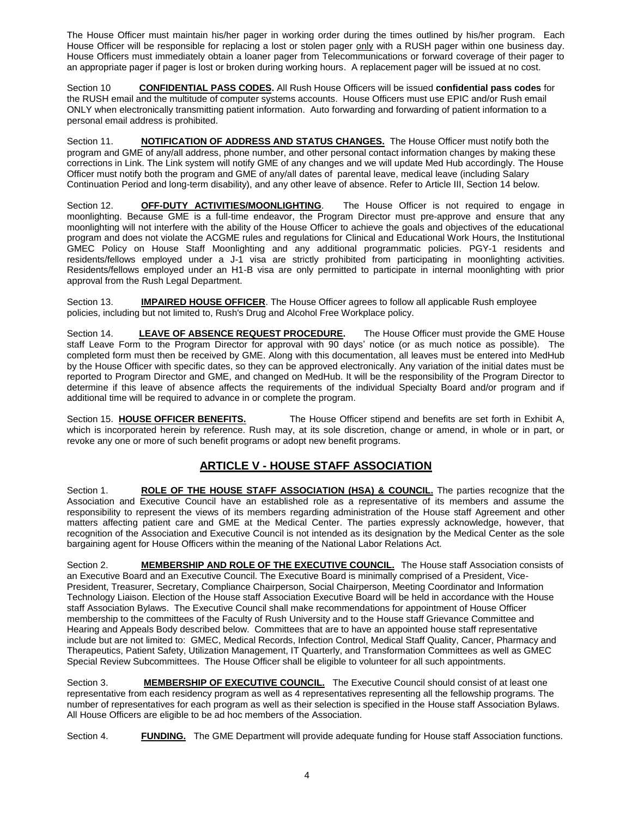The House Officer must maintain his/her pager in working order during the times outlined by his/her program. Each House Officer will be responsible for replacing a lost or stolen pager only with a RUSH pager within one business day. House Officers must immediately obtain a loaner pager from Telecommunications or forward coverage of their pager to an appropriate pager if pager is lost or broken during working hours. A replacement pager will be issued at no cost.

Section 10 **CONFIDENTIAL PASS CODES.** All Rush House Officers will be issued **confidential pass codes** for the RUSH email and the multitude of computer systems accounts. House Officers must use EPIC and/or Rush email ONLY when electronically transmitting patient information. Auto forwarding and forwarding of patient information to a personal email address is prohibited.

Section 11. **NOTIFICATION OF ADDRESS AND STATUS CHANGES.** The House Officer must notify both the program and GME of any/all address, phone number, and other personal contact information changes by making these corrections in Link. The Link system will notify GME of any changes and we will update Med Hub accordingly. The House Officer must notify both the program and GME of any/all dates of parental leave, medical leave (including Salary Continuation Period and long-term disability), and any other leave of absence. Refer to Article III, Section 14 below.

Section 12. **OFF-DUTY ACTIVITIES/MOONLIGHTING**. The House Officer is not required to engage in moonlighting. Because GME is a full-time endeavor, the Program Director must pre-approve and ensure that any moonlighting will not interfere with the ability of the House Officer to achieve the goals and objectives of the educational program and does not violate the ACGME rules and regulations for Clinical and Educational Work Hours, the Institutional GMEC Policy on House Staff Moonlighting and any additional programmatic policies. PGY-1 residents and residents/fellows employed under a J-1 visa are strictly prohibited from participating in moonlighting activities. Residents/fellows employed under an H1-B visa are only permitted to participate in internal moonlighting with prior approval from the Rush Legal Department.

Section 13. **IMPAIRED HOUSE OFFICER**. The House Officer agrees to follow all applicable Rush employee policies, including but not limited to, Rush's Drug and Alcohol Free Workplace policy.

Section 14. **LEAVE OF ABSENCE REQUEST PROCEDURE.** The House Officer must provide the GME House staff Leave Form to the Program Director for approval with 90 days' notice (or as much notice as possible). The completed form must then be received by GME. Along with this documentation, all leaves must be entered into MedHub by the House Officer with specific dates, so they can be approved electronically. Any variation of the initial dates must be reported to Program Director and GME, and changed on MedHub. It will be the responsibility of the Program Director to determine if this leave of absence affects the requirements of the individual Specialty Board and/or program and if additional time will be required to advance in or complete the program.

Section 15. HOUSE OFFICER BENEFITS. The House Officer stipend and benefits are set forth in Exhibit A, which is incorporated herein by reference. Rush may, at its sole discretion, change or amend, in whole or in part, or revoke any one or more of such benefit programs or adopt new benefit programs.

## **ARTICLE V - HOUSE STAFF ASSOCIATION**

Section 1. **ROLE OF THE HOUSE STAFF ASSOCIATION (HSA) & COUNCIL.** The parties recognize that the Association and Executive Council have an established role as a representative of its members and assume the responsibility to represent the views of its members regarding administration of the House staff Agreement and other matters affecting patient care and GME at the Medical Center. The parties expressly acknowledge, however, that recognition of the Association and Executive Council is not intended as its designation by the Medical Center as the sole bargaining agent for House Officers within the meaning of the National Labor Relations Act.

Section 2. **MEMBERSHIP AND ROLE OF THE EXECUTIVE COUNCIL.** The House staff Association consists of an Executive Board and an Executive Council. The Executive Board is minimally comprised of a President, Vice-President, Treasurer, Secretary, Compliance Chairperson, Social Chairperson, Meeting Coordinator and Information Technology Liaison. Election of the House staff Association Executive Board will be held in accordance with the House staff Association Bylaws. The Executive Council shall make recommendations for appointment of House Officer membership to the committees of the Faculty of Rush University and to the House staff Grievance Committee and Hearing and Appeals Body described below. Committees that are to have an appointed house staff representative include but are not limited to: GMEC, Medical Records, Infection Control, Medical Staff Quality, Cancer, Pharmacy and Therapeutics, Patient Safety, Utilization Management, IT Quarterly, and Transformation Committees as well as GMEC Special Review Subcommittees. The House Officer shall be eligible to volunteer for all such appointments.

Section 3. **MEMBERSHIP OF EXECUTIVE COUNCIL.** The Executive Council should consist of at least one representative from each residency program as well as 4 representatives representing all the fellowship programs. The number of representatives for each program as well as their selection is specified in the House staff Association Bylaws. All House Officers are eligible to be ad hoc members of the Association.

Section 4. **FUNDING.** The GME Department will provide adequate funding for House staff Association functions.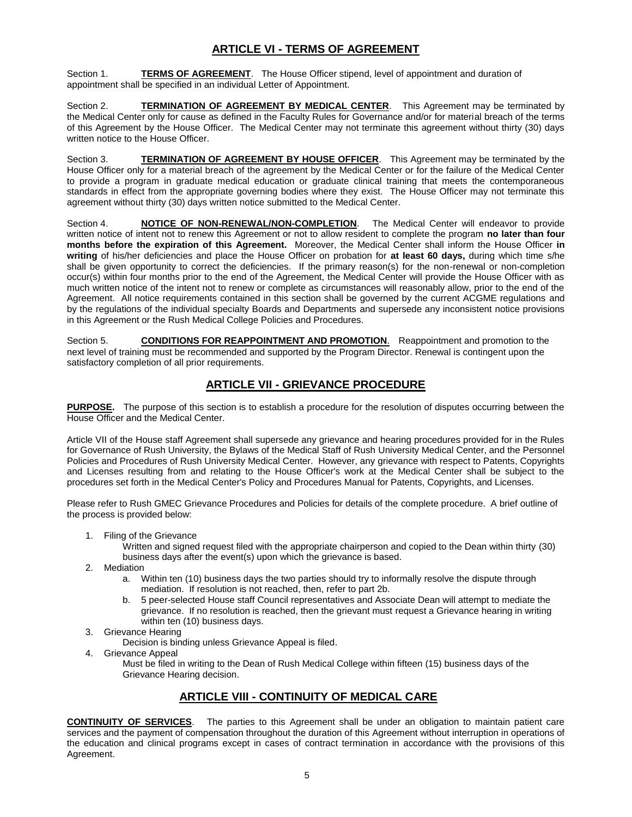## **ARTICLE VI - TERMS OF AGREEMENT**

Section 1. **TERMS OF AGREEMENT**. The House Officer stipend, level of appointment and duration of appointment shall be specified in an individual Letter of Appointment.

Section 2. **TERMINATION OF AGREEMENT BY MEDICAL CENTER**. This Agreement may be terminated by the Medical Center only for cause as defined in the Faculty Rules for Governance and/or for material breach of the terms of this Agreement by the House Officer. The Medical Center may not terminate this agreement without thirty (30) days written notice to the House Officer.

Section 3. **TERMINATION OF AGREEMENT BY HOUSE OFFICER**. This Agreement may be terminated by the House Officer only for a material breach of the agreement by the Medical Center or for the failure of the Medical Center to provide a program in graduate medical education or graduate clinical training that meets the contemporaneous standards in effect from the appropriate governing bodies where they exist. The House Officer may not terminate this agreement without thirty (30) days written notice submitted to the Medical Center.

Section 4. **NOTICE OF NON-RENEWAL/NON-COMPLETION**. The Medical Center will endeavor to provide written notice of intent not to renew this Agreement or not to allow resident to complete the program **no later than four months before the expiration of this Agreement.** Moreover, the Medical Center shall inform the House Officer **in writing** of his/her deficiencies and place the House Officer on probation for **at least 60 days,** during which time s/he shall be given opportunity to correct the deficiencies. If the primary reason(s) for the non-renewal or non-completion occur(s) within four months prior to the end of the Agreement, the Medical Center will provide the House Officer with as much written notice of the intent not to renew or complete as circumstances will reasonably allow, prior to the end of the Agreement. All notice requirements contained in this section shall be governed by the current ACGME regulations and by the regulations of the individual specialty Boards and Departments and supersede any inconsistent notice provisions in this Agreement or the Rush Medical College Policies and Procedures.

Section 5. **CONDITIONS FOR REAPPOINTMENT AND PROMOTION**. Reappointment and promotion to the next level of training must be recommended and supported by the Program Director. Renewal is contingent upon the satisfactory completion of all prior requirements.

## **ARTICLE VII - GRIEVANCE PROCEDURE**

**PURPOSE.** The purpose of this section is to establish a procedure for the resolution of disputes occurring between the House Officer and the Medical Center.

Article VII of the House staff Agreement shall supersede any grievance and hearing procedures provided for in the Rules for Governance of Rush University, the Bylaws of the Medical Staff of Rush University Medical Center, and the Personnel Policies and Procedures of Rush University Medical Center. However, any grievance with respect to Patents, Copyrights and Licenses resulting from and relating to the House Officer's work at the Medical Center shall be subject to the procedures set forth in the Medical Center's Policy and Procedures Manual for Patents, Copyrights, and Licenses.

Please refer to Rush GMEC Grievance Procedures and Policies for details of the complete procedure. A brief outline of the process is provided below:

- 1. Filing of the Grievance
	- Written and signed request filed with the appropriate chairperson and copied to the Dean within thirty (30) business days after the event(s) upon which the grievance is based.
- 2. Mediation
	- a. Within ten (10) business days the two parties should try to informally resolve the dispute through mediation. If resolution is not reached, then, refer to part 2b.
	- b. 5 peer-selected House staff Council representatives and Associate Dean will attempt to mediate the grievance. If no resolution is reached, then the grievant must request a Grievance hearing in writing within ten (10) business days.
- 3. Grievance Hearing
	- Decision is binding unless Grievance Appeal is filed.
- 4. Grievance Appeal
	- Must be filed in writing to the Dean of Rush Medical College within fifteen (15) business days of the Grievance Hearing decision.

## **ARTICLE VIII - CONTINUITY OF MEDICAL CARE**

**CONTINUITY OF SERVICES**. The parties to this Agreement shall be under an obligation to maintain patient care services and the payment of compensation throughout the duration of this Agreement without interruption in operations of the education and clinical programs except in cases of contract termination in accordance with the provisions of this Agreement.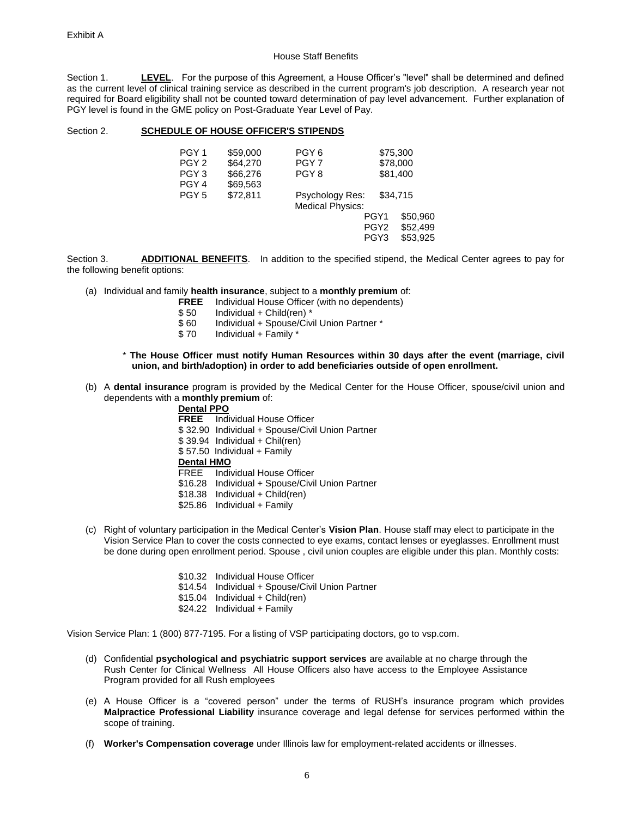#### House Staff Benefits

Section 1. **LEVEL**. For the purpose of this Agreement, a House Officer's "level" shall be determined and defined as the current level of clinical training service as described in the current program's job description. A research year not required for Board eligibility shall not be counted toward determination of pay level advancement. Further explanation of PGY level is found in the GME policy on Post-Graduate Year Level of Pay.

#### Section 2. **SCHEDULE OF HOUSE OFFICER'S STIPENDS**

| PGY <sub>1</sub> | \$59,000 | PGY <sub>6</sub>                                  |                  | \$75,300 |  |
|------------------|----------|---------------------------------------------------|------------------|----------|--|
| PGY <sub>2</sub> | \$64,270 | PGY <sub>7</sub>                                  | \$78,000         |          |  |
| PGY <sub>3</sub> | \$66,276 | PGY <sub>8</sub>                                  |                  | \$81,400 |  |
| PGY <sub>4</sub> | \$69,563 |                                                   |                  |          |  |
| PGY <sub>5</sub> | \$72,811 | <b>Psychology Res:</b><br><b>Medical Physics:</b> |                  | \$34.715 |  |
|                  |          |                                                   | PGY1             | \$50.960 |  |
|                  |          |                                                   | PGY <sub>2</sub> | \$52,499 |  |
|                  |          |                                                   | PGY <sub>3</sub> | \$53.925 |  |
|                  |          |                                                   |                  |          |  |

Section 3. **ADDITIONAL BENEFITS**. In addition to the specified stipend, the Medical Center agrees to pay for the following benefit options:

- (a) Individual and family **health insurance**, subject to a **monthly premium** of:
	- **FREE** Individual House Officer (with no dependents)
	- $$50$  Individual + Child(ren) \*<br> $$60$  Individual + Spouse/Civ
	- \$60 Individual + Spouse/Civil Union Partner \*<br>\$70 Individual + Family \*
	- Individual +  $Family *$
	- \* **The House Officer must notify Human Resources within 30 days after the event (marriage, civil union, and birth/adoption) in order to add beneficiaries outside of open enrollment.**
- (b) A **dental insurance** program is provided by the Medical Center for the House Officer, spouse/civil union and dependents with a **monthly premium** of:
	- **Dental PPO FREE** Individual House Officer \$ 32.90 Individual + Spouse/Civil Union Partner \$ 39.94 Individual + Chil(ren) \$ 57.50 Individual + Family **Dental HMO** FREE Individual House Officer \$16.28 Individual + Spouse/Civil Union Partner  $$18.38$  Individual + Child(ren) \$25.86 Individual + Family
- (c) Right of voluntary participation in the Medical Center's **Vision Plan**. House staff may elect to participate in the Vision Service Plan to cover the costs connected to eye exams, contact lenses or eyeglasses. Enrollment must be done during open enrollment period. Spouse , civil union couples are eligible under this plan. Monthly costs:
	- \$10.32 Individual House Officer \$14.54 Individual + Spouse/Civil Union Partner \$15.04 Individual + Child(ren) \$24.22 Individual + Family

Vision Service Plan: 1 (800) 877-7195. For a listing of VSP participating doctors, go to [vsp.com.](http://www.vsp.com/)

- (d) Confidential **psychological and psychiatric support services** are available at no charge through the Rush Center for Clinical Wellness All House Officers also have access to the Employee Assistance Program provided for all Rush employees
- (e) A House Officer is a "covered person" under the terms of RUSH's insurance program which provides **Malpractice Professional Liability** insurance coverage and legal defense for services performed within the scope of training.
- (f) **Worker's Compensation coverage** under Illinois law for employment-related accidents or illnesses.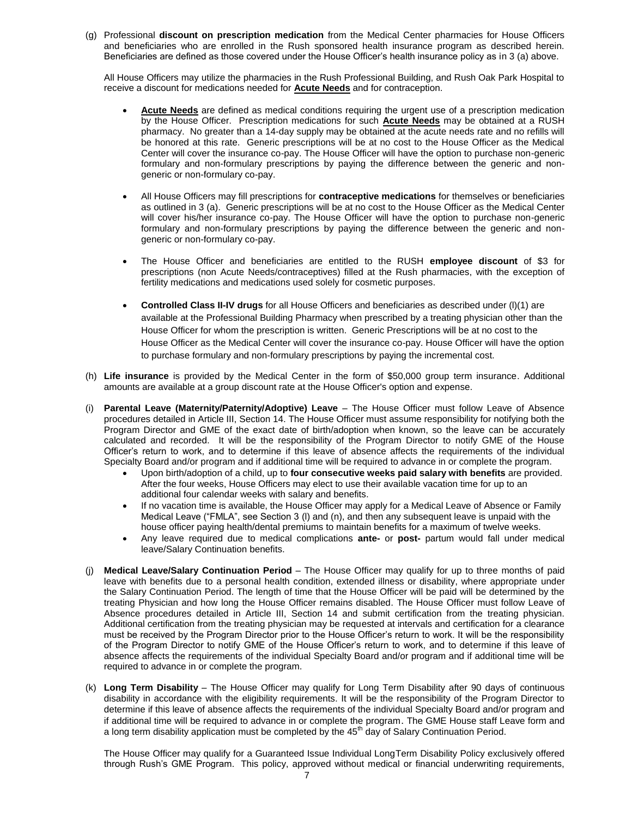(g) Professional **discount on prescription medication** from the Medical Center pharmacies for House Officers and beneficiaries who are enrolled in the Rush sponsored health insurance program as described herein. Beneficiaries are defined as those covered under the House Officer's health insurance policy as in 3 (a) above.

All House Officers may utilize the pharmacies in the Rush Professional Building, and Rush Oak Park Hospital to receive a discount for medications needed for **Acute Needs** and for contraception.

- **Acute Needs** are defined as medical conditions requiring the urgent use of a prescription medication by the House Officer. Prescription medications for such **Acute Needs** may be obtained at a RUSH pharmacy. No greater than a 14-day supply may be obtained at the acute needs rate and no refills will be honored at this rate. Generic prescriptions will be at no cost to the House Officer as the Medical Center will cover the insurance co-pay. The House Officer will have the option to purchase non-generic formulary and non-formulary prescriptions by paying the difference between the generic and nongeneric or non-formulary co-pay.
- All House Officers may fill prescriptions for **contraceptive medications** for themselves or beneficiaries as outlined in 3 (a). Generic prescriptions will be at no cost to the House Officer as the Medical Center will cover his/her insurance co-pay. The House Officer will have the option to purchase non-generic formulary and non-formulary prescriptions by paying the difference between the generic and nongeneric or non-formulary co-pay.
- The House Officer and beneficiaries are entitled to the RUSH **employee discount** of \$3 for prescriptions (non Acute Needs/contraceptives) filled at the Rush pharmacies, with the exception of fertility medications and medications used solely for cosmetic purposes.
- **Controlled Class II-IV drugs** for all House Officers and beneficiaries as described under (l)(1) are available at the Professional Building Pharmacy when prescribed by a treating physician other than the House Officer for whom the prescription is written. Generic Prescriptions will be at no cost to the House Officer as the Medical Center will cover the insurance co-pay. House Officer will have the option to purchase formulary and non-formulary prescriptions by paying the incremental cost.
- (h) **Life insurance** is provided by the Medical Center in the form of \$50,000 group term insurance. Additional amounts are available at a group discount rate at the House Officer's option and expense.
- (i) **Parental Leave (Maternity/Paternity/Adoptive) Leave** The House Officer must follow Leave of Absence procedures detailed in Article III, Section 14. The House Officer must assume responsibility for notifying both the Program Director and GME of the exact date of birth/adoption when known, so the leave can be accurately calculated and recorded. It will be the responsibility of the Program Director to notify GME of the House Officer's return to work, and to determine if this leave of absence affects the requirements of the individual Specialty Board and/or program and if additional time will be required to advance in or complete the program.
	- Upon birth/adoption of a child, up to **four consecutive weeks paid salary with benefits** are provided. After the four weeks, House Officers may elect to use their available vacation time for up to an additional four calendar weeks with salary and benefits.
	- If no vacation time is available, the House Officer may apply for a Medical Leave of Absence or Family Medical Leave ("FMLA", see Section 3 (l) and (n), and then any subsequent leave is unpaid with the house officer paying health/dental premiums to maintain benefits for a maximum of twelve weeks.
	- Any leave required due to medical complications **ante-** or **post-** partum would fall under medical leave/Salary Continuation benefits.
- (j) **Medical Leave/Salary Continuation Period** The House Officer may qualify for up to three months of paid leave with benefits due to a personal health condition, extended illness or disability, where appropriate under the Salary Continuation Period. The length of time that the House Officer will be paid will be determined by the treating Physician and how long the House Officer remains disabled. The House Officer must follow Leave of Absence procedures detailed in Article III, Section 14 and submit certification from the treating physician. Additional certification from the treating physician may be requested at intervals and certification for a clearance must be received by the Program Director prior to the House Officer's return to work. It will be the responsibility of the Program Director to notify GME of the House Officer's return to work, and to determine if this leave of absence affects the requirements of the individual Specialty Board and/or program and if additional time will be required to advance in or complete the program.
- (k) **Long Term Disability** The House Officer may qualify for Long Term Disability after 90 days of continuous disability in accordance with the eligibility requirements. It will be the responsibility of the Program Director to determine if this leave of absence affects the requirements of the individual Specialty Board and/or program and if additional time will be required to advance in or complete the program. The GME House staff Leave form and a long term disability application must be completed by the 45<sup>th</sup> day of Salary Continuation Period.

The House Officer may qualify for a Guaranteed Issue Individual LongTerm Disability Policy exclusively offered through Rush's GME Program. This policy, approved without medical or financial underwriting requirements,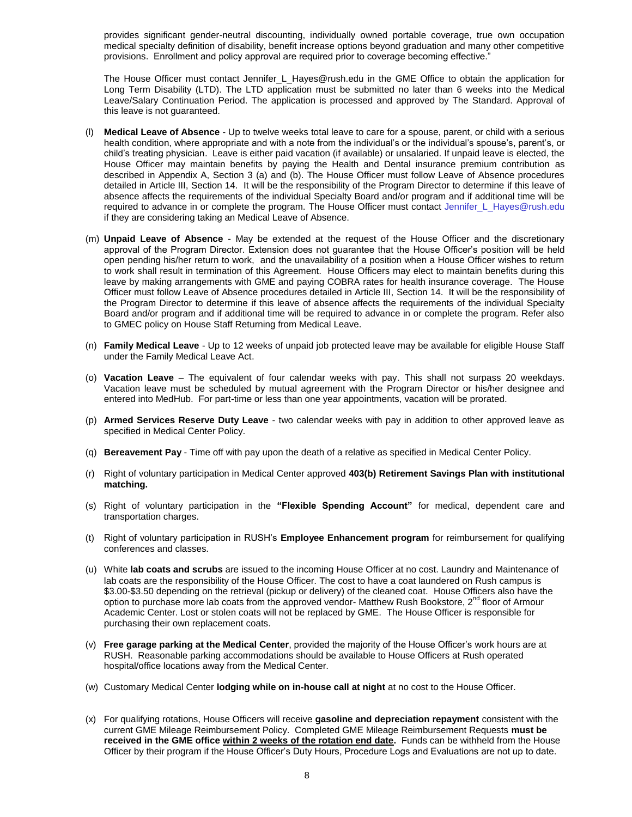provides significant gender-neutral discounting, individually owned portable coverage, true own occupation medical specialty definition of disability, benefit increase options beyond graduation and many other competitive provisions. Enrollment and policy approval are required prior to coverage becoming effective."

The House Officer must contact Jennifer\_L\_Hayes@rush.edu in the GME Office to obtain the application for Long Term Disability (LTD). The LTD application must be submitted no later than 6 weeks into the Medical Leave/Salary Continuation Period. The application is processed and approved by The Standard. Approval of this leave is not guaranteed.

- (l) **Medical Leave of Absence** Up to twelve weeks total leave to care for a spouse, parent, or child with a serious health condition, where appropriate and with a note from the individual's or the individual's spouse's, parent's, or child's treating physician. Leave is either paid vacation (if available) or unsalaried. If unpaid leave is elected, the House Officer may maintain benefits by paying the Health and Dental insurance premium contribution as described in Appendix A, Section 3 (a) and (b). The House Officer must follow Leave of Absence procedures detailed in Article III, Section 14. It will be the responsibility of the Program Director to determine if this leave of absence affects the requirements of the individual Specialty Board and/or program and if additional time will be required to advance in or complete the program. The House Officer must contact [Jennifer\\_L\\_Hayes@rush.edu](mailto:Jennifer_L_Hayes@rush.edu) if they are considering taking an Medical Leave of Absence.
- (m) **Unpaid Leave of Absence**  May be extended at the request of the House Officer and the discretionary approval of the Program Director. Extension does not guarantee that the House Officer's position will be held open pending his/her return to work, and the unavailability of a position when a House Officer wishes to return to work shall result in termination of this Agreement. House Officers may elect to maintain benefits during this leave by making arrangements with GME and paying COBRA rates for health insurance coverage. The House Officer must follow Leave of Absence procedures detailed in Article III, Section 14. It will be the responsibility of the Program Director to determine if this leave of absence affects the requirements of the individual Specialty Board and/or program and if additional time will be required to advance in or complete the program. Refer also to GMEC policy on House Staff Returning from Medical Leave.
- (n) **Family Medical Leave** Up to 12 weeks of unpaid job protected leave may be available for eligible House Staff under the Family Medical Leave Act.
- (o) **Vacation Leave** The equivalent of four calendar weeks with pay. This shall not surpass 20 weekdays. Vacation leave must be scheduled by mutual agreement with the Program Director or his/her designee and entered into MedHub. For part-time or less than one year appointments, vacation will be prorated.
- (p) **Armed Services Reserve Duty Leave** two calendar weeks with pay in addition to other approved leave as specified in Medical Center Policy.
- (q) **Bereavement Pay** Time off with pay upon the death of a relative as specified in Medical Center Policy.
- (r) Right of voluntary participation in Medical Center approved **403(b) Retirement Savings Plan with institutional matching.**
- (s) Right of voluntary participation in the **"Flexible Spending Account"** for medical, dependent care and transportation charges.
- (t) Right of voluntary participation in RUSH's **Employee Enhancement program** for reimbursement for qualifying conferences and classes.
- (u) White **lab coats and scrubs** are issued to the incoming House Officer at no cost. Laundry and Maintenance of lab coats are the responsibility of the House Officer. The cost to have a coat laundered on Rush campus is \$3.00-\$3.50 depending on the retrieval (pickup or delivery) of the cleaned coat. House Officers also have the option to purchase more lab coats from the approved vendor- Matthew Rush Bookstore, 2<sup>nd</sup> floor of Armour Academic Center. Lost or stolen coats will not be replaced by GME. The House Officer is responsible for purchasing their own replacement coats.
- (v) **Free garage parking at the Medical Center**, provided the majority of the House Officer's work hours are at RUSH. Reasonable parking accommodations should be available to House Officers at Rush operated hospital/office locations away from the Medical Center.
- (w) Customary Medical Center **lodging while on in-house call at night** at no cost to the House Officer.
- (x) For qualifying rotations, House Officers will receive **gasoline and depreciation repayment** consistent with the current GME Mileage Reimbursement Policy. Completed GME Mileage Reimbursement Requests **must be received in the GME office within 2 weeks of the rotation end date.** Funds can be withheld from the House Officer by their program if the House Officer's Duty Hours, Procedure Logs and Evaluations are not up to date.